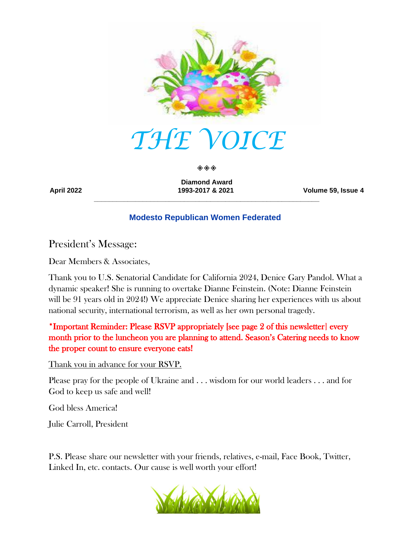

◈◈◈

**Diamond Award \_\_\_\_\_\_\_\_\_\_\_\_\_\_\_\_\_\_\_\_\_\_\_\_\_\_\_\_\_\_\_\_\_\_\_\_\_\_\_\_\_\_\_\_\_\_\_\_\_\_\_\_\_\_\_\_\_\_\_\_**

**April 2022 1993-2017 & 2021 Volume 59, Issue 4**

### **Modesto Republican Women Federated**

President's Message:

Dear Members & Associates,

Thank you to U.S. Senatorial Candidate for California 2024, Denice Gary Pandol. What a dynamic speaker! She is running to overtake Dianne Feinstein. (Note: Dianne Feinstein will be 91 years old in 2024!) We appreciate Denice sharing her experiences with us about national security, international terrorism, as well as her own personal tragedy.

\*Important Reminder: Please RSVP appropriately [see page 2 of this newsletter] every month prior to the luncheon you are planning to attend. Season's Catering needs to know the proper count to ensure everyone eats!

Thank you in advance for your RSVP.

Please pray for the people of Ukraine and . . . wisdom for our world leaders . . . and for God to keep us safe and well!

God bless America!

Julie Carroll, President

P.S. Please share our newsletter with your friends, relatives, e-mail, Face Book, Twitter, Linked In, etc. contacts. Our cause is well worth your effort!

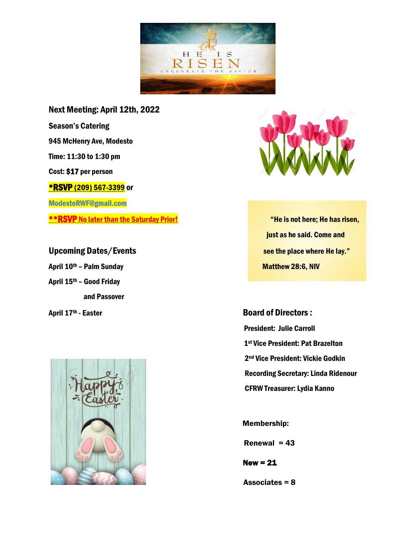

Next Meeting: April 12th, 2022 Season's Catering 945 McHenry Ave, Modesto Time: 11:30 to 1:30 pm Cost: \$17 per person **\*RSVP (209) 567-3399 or** ModestoRWF@gmail.com \*\*RSVP No later than the Saturday Prior! The Masseum of the is not here; He has risen,

April 10<sup>th</sup> – Palm Sunday Matthew 28:6, NIV April 15th – Good Friday and Passover





 just as he said. Come and Upcoming Dates/Events see the place where He lay."

April 17<sup>th</sup> - Easter **Board of Directors :**  President: Julie Carroll 1st Vice President: Pat Brazelton 2nd Vice President: Vickie Godkin Recording Secretary: Linda Ridenour CFRW Treasurer: Lydia Kanno

Membership:

Renewal  $= 43$ 

 $New = 21$ 

Associates = 8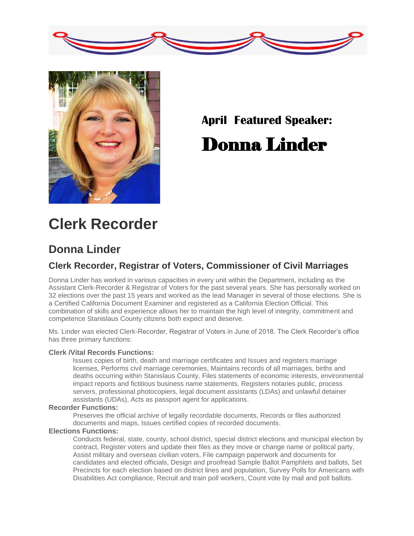



# **April Featured Speaker:** Donna Linder

# **Clerk Recorder**

## **Donna Linder**

## **Clerk Recorder, Registrar of Voters, Commissioner of Civil Marriages**

Donna Linder has worked in various capacities in every unit within the Department, including as the Assistant Clerk-Recorder & Registrar of Voters for the past several years. She has personally worked on 32 elections over the past 15 years and worked as the lead Manager in several of those elections. She is a Certified California Document Examiner and registered as a California Election Official. This combination of skills and experience allows her to maintain the high level of integrity, commitment and competence Stanislaus County citizens both expect and deserve.

Ms. Linder was elected Clerk-Recorder, Registrar of Voters in June of 2018. The Clerk Recorder's office has three primary functions:

#### **Clerk /Vital Records Functions:**

Issues copies of birth, death and marriage certificates and Issues and registers marriage licenses, Performs civil marriage ceremonies, Maintains records of all marriages, births and deaths occurring within Stanislaus County, Files statements of economic interests, environmental impact reports and fictitious business name statements, Registers notaries public, process servers, professional photocopiers, legal document assistants (LDAs) and unlawful detainer assistants (UDAs), Acts as passport agent for applications.

#### **Recorder Functions:**

Preserves the official archive of legally recordable documents, Records or files authorized documents and maps, Issues certified copies of recorded documents.

#### **Elections Functions:**

Conducts federal, state, county, school district, special district elections and municipal election by contract, Register voters and update their files as they move or change name or political party, Assist military and overseas civilian voters, File campaign paperwork and documents for candidates and elected officials, Design and proofread Sample Ballot Pamphlets and ballots, Set Precincts for each election based on district lines and population, Survey Polls for Americans with Disabilities Act compliance, Recruit and train poll workers, Count vote by mail and poll ballots.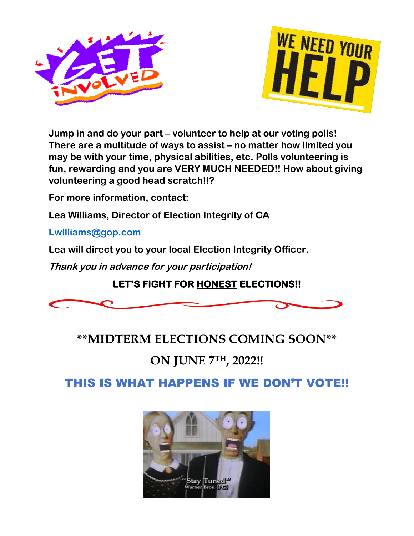



**Jump in and do your part – volunteer to help at our voting polls! There are a multitude of ways to assist – no matter how limited you may be with your time, physical abilities, etc. Polls volunteering is fun, rewarding and you are VERY MUCH NEEDED!! How about giving volunteering a good head scratch!!?**

**For more information, contact:**

**Lea Williams, Director of Election Integrity of CA**

**Lwilliams@gop.com**

**Lea will direct you to your local Election Integrity Officer.**

**Thank you in advance for your participation!**

## **LET'S FIGHT FOR HONEST ELECTIONS!!**



**\*\*MIDTERM ELECTIONS COMING SOON\*\***

# **ON JUNE 7TH, 2022!!**

THIS IS WHAT HAPPENS IF WE DON'T VOTE!!

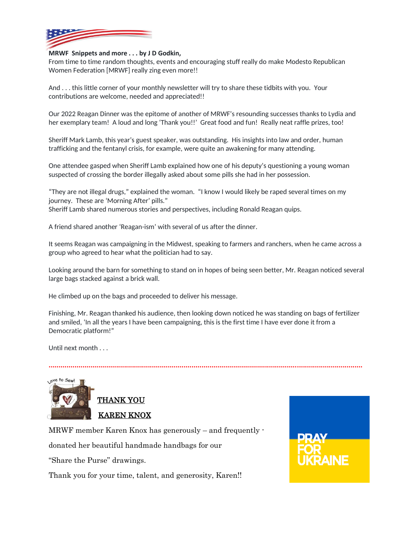

#### **MRWF Snippets and more . . . by J D Godkin,**

From time to time random thoughts, events and encouraging stuff really do make Modesto Republican Women Federation [MRWF] really zing even more!!

And . . . this little corner of your monthly newsletter will try to share these tidbits with you. Your contributions are welcome, needed and appreciated!!

Our 2022 Reagan Dinner was the epitome of another of MRWF's resounding successes thanks to Lydia and her exemplary team! A loud and long 'Thank you!!' Great food and fun! Really neat raffle prizes, too!

Sheriff Mark Lamb, this year's guest speaker, was outstanding. His insights into law and order, human trafficking and the fentanyl crisis, for example, were quite an awakening for many attending.

One attendee gasped when Sheriff Lamb explained how one of his deputy's questioning a young woman suspected of crossing the border illegally asked about some pills she had in her possession.

"They are not illegal drugs," explained the woman. "I know I would likely be raped several times on my journey. These are 'Morning After' pills." Sheriff Lamb shared numerous stories and perspectives, including Ronald Reagan quips.

A friend shared another 'Reagan-ism' with several of us after the dinner.

It seems Reagan was campaigning in the Midwest, speaking to farmers and ranchers, when he came across a group who agreed to hear what the politician had to say.

Looking around the barn for something to stand on in hopes of being seen better, Mr. Reagan noticed several large bags stacked against a brick wall.

He climbed up on the bags and proceeded to deliver his message.

Finishing, Mr. Reagan thanked his audience, then looking down noticed he was standing on bags of fertilizer and smiled, 'In all the years I have been campaigning, this is the first time I have ever done it from a Democratic platform!"

**..............................................................................................................................................................**

Until next month . . .



MRWF member Karen Knox has generously – and frequently -

donated her beautiful handmade handbags for our

"Share the Purse" drawings.

Thank you for your time, talent, and generosity, Karen!!